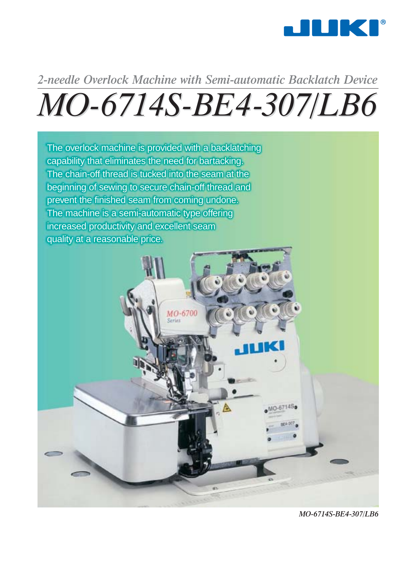

# *MO-6714S-BE4-307/LB6 6714S-BE4-307/LB6 2-needle Overlock Machine with Semi-automatic Backlatch Device*



*MO-6714S-BE4-307/LB6*